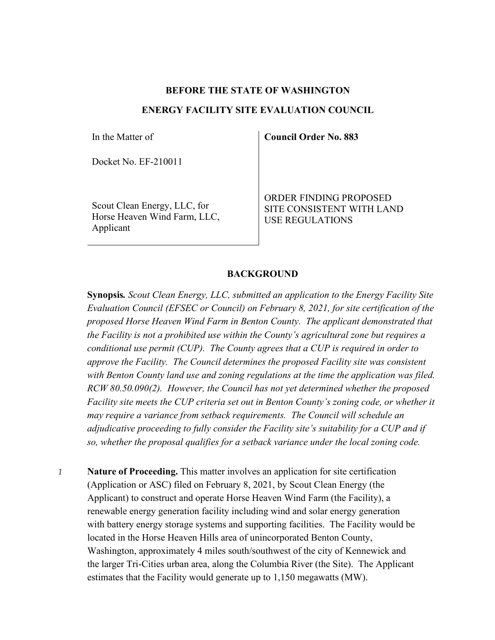### **BEFORE THE STATE OF WASHINGTON**

## **ENERGY FACILITY SITE EVALUATION COUNCIL**

In the Matter of

Docket No. EF-210011

Scout Clean Energy, LLC, for Horse Heaven Wind Farm, LLC, Applicant

**Council Order No. 883**

ORDER FINDING PROPOSED SITE CONSISTENT WITH LAND USE REGULATIONS

### **BACKGROUND**

**Synopsis***. Scout Clean Energy, LLC, submitted an application to the Energy Facility Site Evaluation Council (EFSEC or Council) on February 8, 2021, for site certification of the proposed Horse Heaven Wind Farm in Benton County. The applicant demonstrated that the Facility is not a prohibited use within the County's agricultural zone but requires a conditional use permit (CUP). The County agrees that a CUP is required in order to approve the Facility. The Council determines the proposed Facility site was consistent with Benton County land use and zoning regulations at the time the application was filed. RCW 80.50.090(2). However, the Council has not yet determined whether the proposed Facility site meets the CUP criteria set out in Benton County's zoning code, or whether it may require a variance from setback requirements. The Council will schedule an adjudicative proceeding to fully consider the Facility site's suitability for a CUP and if so, whether the proposal qualifies for a setback variance under the local zoning code.*

*1* **Nature of Proceeding.** This matter involves an application for site certification (Application or ASC) filed on February 8, 2021, by Scout Clean Energy (the Applicant) to construct and operate Horse Heaven Wind Farm (the Facility), a renewable energy generation facility including wind and solar energy generation with battery energy storage systems and supporting facilities. The Facility would be located in the Horse Heaven Hills area of unincorporated Benton County, Washington, approximately 4 miles south/southwest of the city of Kennewick and the larger Tri-Cities urban area, along the Columbia River (the Site). The Applicant estimates that the Facility would generate up to 1,150 megawatts (MW).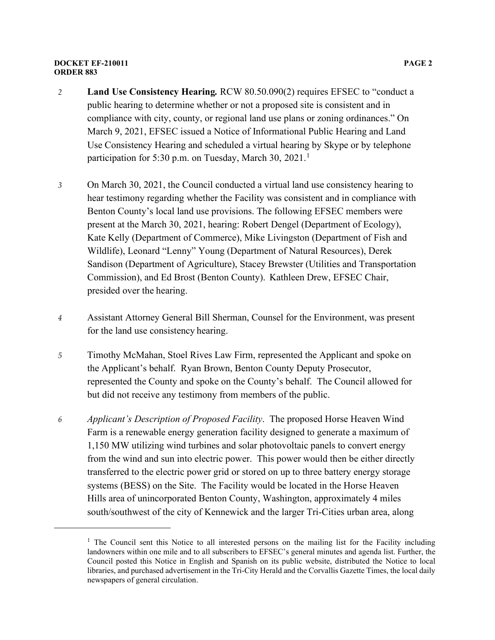#### **DOCKET EF-210011 PAGE 2 ORDER 883**

- *2* **Land Use Consistency Hearing***.* RCW 80.50.090(2) requires EFSEC to "conduct a public hearing to determine whether or not a proposed site is consistent and in compliance with city, county, or regional land use plans or zoning ordinances." On March 9, 2021, EFSEC issued a Notice of Informational Public Hearing and Land Use Consistency Hearing and scheduled a virtual hearing by Skype or by telephone participation for 5:30 p.m. on Tuesday, March 30, 202[1](#page-1-0).<sup>1</sup>
- *3* On March 30, 2021, the Council conducted a virtual land use consistency hearing to hear testimony regarding whether the Facility was consistent and in compliance with Benton County's local land use provisions. The following EFSEC members were present at the March 30, 2021, hearing: Robert Dengel (Department of Ecology), Kate Kelly (Department of Commerce), Mike Livingston (Department of Fish and Wildlife), Leonard "Lenny" Young (Department of Natural Resources), Derek Sandison (Department of Agriculture), Stacey Brewster (Utilities and Transportation Commission), and Ed Brost (Benton County). Kathleen Drew, EFSEC Chair, presided over the hearing.
- *4* Assistant Attorney General Bill Sherman, Counsel for the Environment, was present for the land use consistency hearing.
- *5* Timothy McMahan, Stoel Rives Law Firm, represented the Applicant and spoke on the Applicant's behalf. Ryan Brown, Benton County Deputy Prosecutor, represented the County and spoke on the County's behalf. The Council allowed for but did not receive any testimony from members of the public.
- *6 Applicant's Description of Proposed Facility*. The proposed Horse Heaven Wind Farm is a renewable energy generation facility designed to generate a maximum of 1,150 MW utilizing wind turbines and solar photovoltaic panels to convert energy from the wind and sun into electric power. This power would then be either directly transferred to the electric power grid or stored on up to three battery energy storage systems (BESS) on the Site. The Facility would be located in the Horse Heaven Hills area of unincorporated Benton County, Washington, approximately 4 miles south/southwest of the city of Kennewick and the larger Tri-Cities urban area, along

<span id="page-1-0"></span> $1$  The Council sent this Notice to all interested persons on the mailing list for the Facility including landowners within one mile and to all subscribers to EFSEC's general minutes and agenda list. Further, the Council posted this Notice in English and Spanish on its public website, distributed the Notice to local libraries, and purchased advertisement in the Tri-City Herald and the Corvallis Gazette Times, the local daily newspapers of general circulation.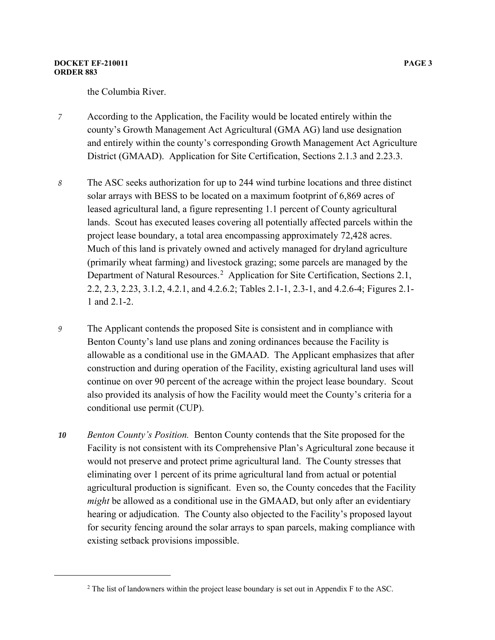the Columbia River.

- *7* According to the Application, the Facility would be located entirely within the county's Growth Management Act Agricultural (GMA AG) land use designation and entirely within the county's corresponding Growth Management Act Agriculture District (GMAAD). Application for Site Certification, Sections 2.1.3 and 2.23.3.
- *8* The ASC seeks authorization for up to 244 wind turbine locations and three distinct solar arrays with BESS to be located on a maximum footprint of 6,869 acres of leased agricultural land, a figure representing 1.1 percent of County agricultural lands. Scout has executed leases covering all potentially affected parcels within the project lease boundary, a total area encompassing approximately 72,428 acres. Much of this land is privately owned and actively managed for dryland agriculture (primarily wheat farming) and livestock grazing; some parcels are managed by the Department of Natural Resources.<sup>[2](#page-2-0)</sup> Application for Site Certification, Sections 2.1, 2.2, 2.3, 2.23, 3.1.2, 4.2.1, and 4.2.6.2; Tables 2.1-1, 2.3-1, and 4.2.6-4; Figures 2.1- 1 and 2.1-2.
- *9* The Applicant contends the proposed Site is consistent and in compliance with Benton County's land use plans and zoning ordinances because the Facility is allowable as a conditional use in the GMAAD. The Applicant emphasizes that after construction and during operation of the Facility, existing agricultural land uses will continue on over 90 percent of the acreage within the project lease boundary. Scout also provided its analysis of how the Facility would meet the County's criteria for a conditional use permit (CUP).
- *10 Benton County's Position.* Benton County contends that the Site proposed for the Facility is not consistent with its Comprehensive Plan's Agricultural zone because it would not preserve and protect prime agricultural land. The County stresses that eliminating over 1 percent of its prime agricultural land from actual or potential agricultural production is significant. Even so, the County concedes that the Facility *might* be allowed as a conditional use in the GMAAD, but only after an evidentiary hearing or adjudication. The County also objected to the Facility's proposed layout for security fencing around the solar arrays to span parcels, making compliance with existing setback provisions impossible.

<span id="page-2-0"></span> $2$  The list of landowners within the project lease boundary is set out in Appendix F to the ASC.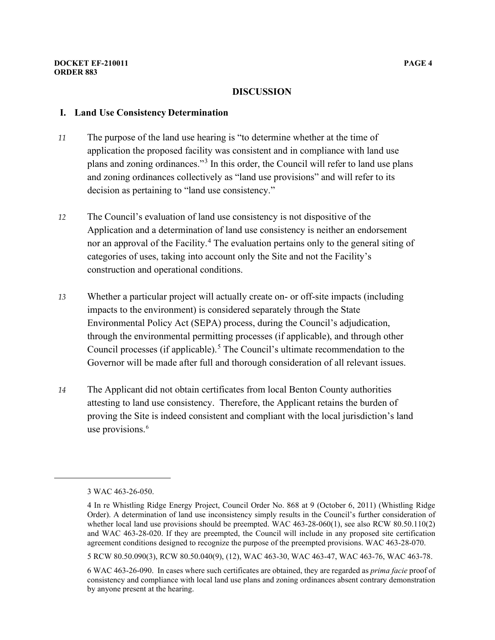## **I. Land Use Consistency Determination**

- *11* The purpose of the land use hearing is "to determine whether at the time of application the proposed facility was consistent and in compliance with land use plans and zoning ordinances."[3](#page-3-0) In this order, the Council will refer to land use plans and zoning ordinances collectively as "land use provisions" and will refer to its decision as pertaining to "land use consistency."
- *12* The Council's evaluation of land use consistency is not dispositive of the Application and a determination of land use consistency is neither an endorsement nor an approval of the Facility. [4](#page-3-1) The evaluation pertains only to the general siting of categories of uses, taking into account only the Site and not the Facility's construction and operational conditions.
- *13* Whether a particular project will actually create on- or off-site impacts (including impacts to the environment) is considered separately through the State Environmental Policy Act (SEPA) process, during the Council's adjudication, through the environmental permitting processes (if applicable), and through other Council processes (if applicable).<sup>[5](#page-3-2)</sup> The Council's ultimate recommendation to the Governor will be made after full and thorough consideration of all relevant issues.
- *14* The Applicant did not obtain certificates from local Benton County authorities attesting to land use consistency. Therefore, the Applicant retains the burden of proving the Site is indeed consistent and compliant with the local jurisdiction's land use provisions. [6](#page-3-3)

<span id="page-3-2"></span>5 RCW 80.50.090(3), RCW 80.50.040(9), (12), WAC 463-30, WAC 463-47, WAC 463-76, WAC 463-78.

<span id="page-3-0"></span><sup>3</sup> WAC 463-26-050.

<span id="page-3-1"></span><sup>4</sup> In re Whistling Ridge Energy Project, Council Order No. 868 at 9 (October 6, 2011) (Whistling Ridge Order). A determination of land use inconsistency simply results in the Council's further consideration of whether local land use provisions should be preempted. WAC 463-28-060(1), see also RCW 80.50.110(2) and WAC 463-28-020. If they are preempted, the Council will include in any proposed site certification agreement conditions designed to recognize the purpose of the preempted provisions. WAC 463-28-070.

<span id="page-3-3"></span><sup>6</sup> WAC 463-26-090. In cases where such certificates are obtained, they are regarded as *prima facie* proof of consistency and compliance with local land use plans and zoning ordinances absent contrary demonstration by anyone present at the hearing.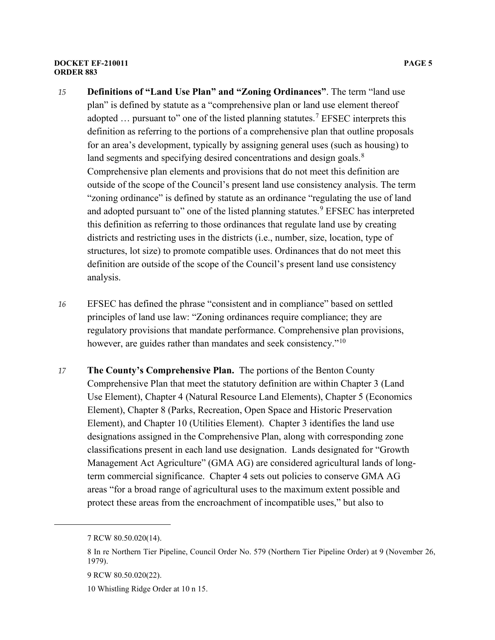#### **DOCKET EF-210011 PAGE 5 ORDER 883**

- *15* **Definitions of "Land Use Plan" and "Zoning Ordinances"**. The term "land use plan" is defined by statute as a "comprehensive plan or land use element thereof adopted  $\ldots$  pursuant to" one of the listed planning statutes.<sup>[7](#page-4-0)</sup> EFSEC interprets this definition as referring to the portions of a comprehensive plan that outline proposals for an area's development, typically by assigning general uses (such as housing) to land segments and specifying desired concentrations and design goals. $8$ Comprehensive plan elements and provisions that do not meet this definition are outside of the scope of the Council's present land use consistency analysis. The term "zoning ordinance" is defined by statute as an ordinance "regulating the use of land and adopted pursuant to" one of the listed planning statutes.<sup>[9](#page-4-2)</sup> EFSEC has interpreted this definition as referring to those ordinances that regulate land use by creating districts and restricting uses in the districts (i.e., number, size, location, type of structures, lot size) to promote compatible uses. Ordinances that do not meet this definition are outside of the scope of the Council's present land use consistency analysis.
- *16* EFSEC has defined the phrase "consistent and in compliance" based on settled principles of land use law: "Zoning ordinances require compliance; they are regulatory provisions that mandate performance. Comprehensive plan provisions, however, are guides rather than mandates and seek consistency."<sup>[10](#page-4-3)</sup>
- *17* **The County's Comprehensive Plan.** The portions of the Benton County Comprehensive Plan that meet the statutory definition are within Chapter 3 (Land Use Element), Chapter 4 (Natural Resource Land Elements), Chapter 5 (Economics Element), Chapter 8 (Parks, Recreation, Open Space and Historic Preservation Element), and Chapter 10 (Utilities Element). Chapter 3 identifies the land use designations assigned in the Comprehensive Plan, along with corresponding zone classifications present in each land use designation. Lands designated for "Growth Management Act Agriculture" (GMA AG) are considered agricultural lands of longterm commercial significance. Chapter 4 sets out policies to conserve GMA AG areas "for a broad range of agricultural uses to the maximum extent possible and protect these areas from the encroachment of incompatible uses," but also to

<span id="page-4-0"></span><sup>7</sup> RCW 80.50.020(14).

<span id="page-4-1"></span><sup>8</sup> In re Northern Tier Pipeline, Council Order No. 579 (Northern Tier Pipeline Order) at 9 (November 26, 1979).

<span id="page-4-2"></span><sup>9</sup> RCW 80.50.020(22).

<span id="page-4-3"></span><sup>10</sup> Whistling Ridge Order at 10 n 15.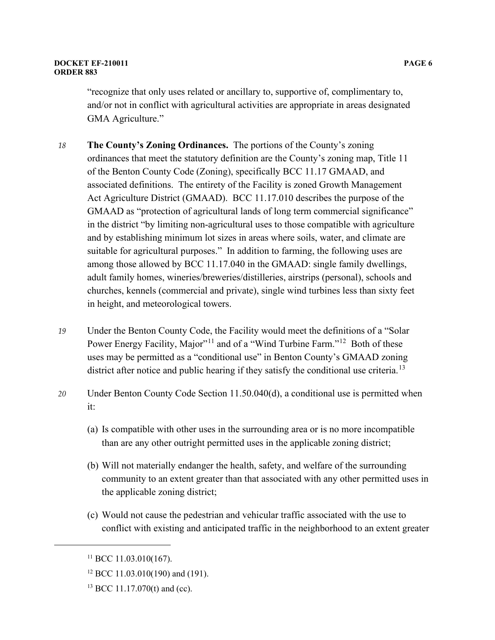#### **DOCKET EF-210011 PAGE 6 ORDER 883**

- *18* **The County's Zoning Ordinances.** The portions of the County's zoning ordinances that meet the statutory definition are the County's zoning map, Title 11 of the Benton County Code (Zoning), specifically BCC 11.17 GMAAD, and associated definitions. The entirety of the Facility is zoned Growth Management Act Agriculture District (GMAAD). BCC 11.17.010 describes the purpose of the GMAAD as "protection of agricultural lands of long term commercial significance" in the district "by limiting non-agricultural uses to those compatible with agriculture and by establishing minimum lot sizes in areas where soils, water, and climate are suitable for agricultural purposes." In addition to farming, the following uses are among those allowed by BCC 11.17.040 in the GMAAD: single family dwellings, adult family homes, wineries/breweries/distilleries, airstrips (personal), schools and churches, kennels (commercial and private), single wind turbines less than sixty feet in height, and meteorological towers.
- *19* Under the Benton County Code, the Facility would meet the definitions of a "Solar Power Energy Facility, Major"<sup>[11](#page-5-0)</sup> and of a "Wind Turbine Farm."<sup>[12](#page-5-1)</sup> Both of these uses may be permitted as a "conditional use" in Benton County's GMAAD zoning district after notice and public hearing if they satisfy the conditional use criteria.<sup>[13](#page-5-2)</sup>
- *20* Under Benton County Code Section 11.50.040(d), a conditional use is permitted when it:
	- (a) Is compatible with other uses in the surrounding area or is no more incompatible than are any other outright permitted uses in the applicable zoning district;
	- (b) Will not materially endanger the health, safety, and welfare of the surrounding community to an extent greater than that associated with any other permitted uses in the applicable zoning district;
	- (c) Would not cause the pedestrian and vehicular traffic associated with the use to conflict with existing and anticipated traffic in the neighborhood to an extent greater

<span id="page-5-0"></span> $11$  BCC 11.03.010(167).

<span id="page-5-1"></span><sup>&</sup>lt;sup>12</sup> BCC 11.03.010(190) and (191).

<span id="page-5-2"></span> $13$  BCC 11.17.070(t) and (cc).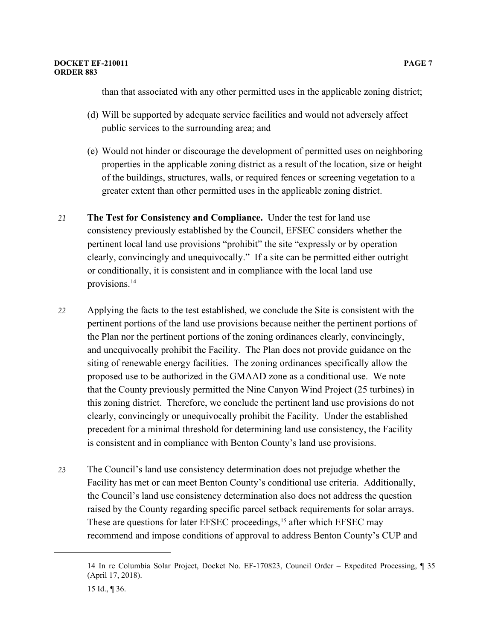than that associated with any other permitted uses in the applicable zoning district;

- (d) Will be supported by adequate service facilities and would not adversely affect public services to the surrounding area; and
- (e) Would not hinder or discourage the development of permitted uses on neighboring properties in the applicable zoning district as a result of the location, size or height of the buildings, structures, walls, or required fences or screening vegetation to a greater extent than other permitted uses in the applicable zoning district.
- *21* **The Test for Consistency and Compliance.** Under the test for land use consistency previously established by the Council, EFSEC considers whether the pertinent local land use provisions "prohibit" the site "expressly or by operation clearly, convincingly and unequivocally." If a site can be permitted either outright or conditionally, it is consistent and in compliance with the local land use provisions.[14](#page-6-0)
- *22* Applying the facts to the test established, we conclude the Site is consistent with the pertinent portions of the land use provisions because neither the pertinent portions of the Plan nor the pertinent portions of the zoning ordinances clearly, convincingly, and unequivocally prohibit the Facility. The Plan does not provide guidance on the siting of renewable energy facilities. The zoning ordinances specifically allow the proposed use to be authorized in the GMAAD zone as a conditional use. We note that the County previously permitted the Nine Canyon Wind Project (25 turbines) in this zoning district. Therefore, we conclude the pertinent land use provisions do not clearly, convincingly or unequivocally prohibit the Facility. Under the established precedent for a minimal threshold for determining land use consistency, the Facility is consistent and in compliance with Benton County's land use provisions.
- *23* The Council's land use consistency determination does not prejudge whether the Facility has met or can meet Benton County's conditional use criteria. Additionally, the Council's land use consistency determination also does not address the question raised by the County regarding specific parcel setback requirements for solar arrays. These are questions for later EFSEC proceedings,<sup>[15](#page-6-1)</sup> after which EFSEC may recommend and impose conditions of approval to address Benton County's CUP and

<span id="page-6-0"></span><sup>14</sup> In re Columbia Solar Project, Docket No. EF-170823, Council Order – Expedited Processing, ¶ 35 (April 17, 2018).

<span id="page-6-1"></span><sup>15</sup> Id., ¶ 36.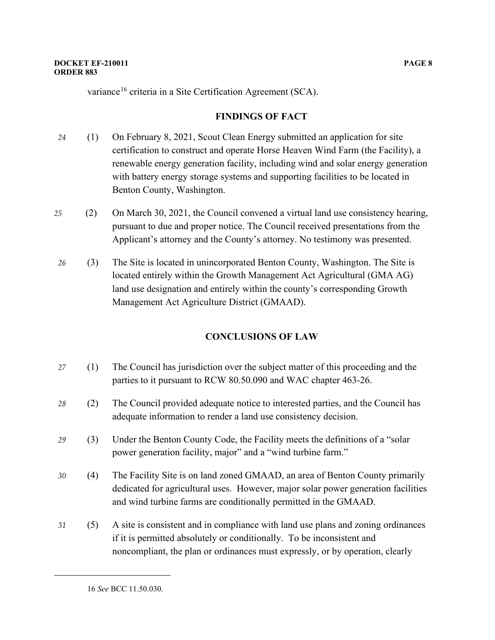variance<sup>[16](#page-7-0)</sup> criteria in a Site Certification Agreement (SCA).

# **FINDINGS OF FACT**

- *24* (1) On February 8, 2021, Scout Clean Energy submitted an application for site certification to construct and operate Horse Heaven Wind Farm (the Facility), a renewable energy generation facility, including wind and solar energy generation with battery energy storage systems and supporting facilities to be located in Benton County, Washington.
- *25* (2) On March 30, 2021, the Council convened a virtual land use consistency hearing, pursuant to due and proper notice. The Council received presentations from the Applicant's attorney and the County's attorney. No testimony was presented.
- *26* (3) The Site is located in unincorporated Benton County, Washington. The Site is located entirely within the Growth Management Act Agricultural (GMA AG) land use designation and entirely within the county's corresponding Growth Management Act Agriculture District (GMAAD).

# **CONCLUSIONS OF LAW**

- *27* (1) The Council has jurisdiction over the subject matter of this proceeding and the parties to it pursuant to RCW 80.50.090 and WAC chapter 463-26.
- *28* (2) The Council provided adequate notice to interested parties, and the Council has adequate information to render a land use consistency decision.
- *29* (3) Under the Benton County Code, the Facility meets the definitions of a "solar power generation facility, major" and a "wind turbine farm."
- *30* (4) The Facility Site is on land zoned GMAAD, an area of Benton County primarily dedicated for agricultural uses. However, major solar power generation facilities and wind turbine farms are conditionally permitted in the GMAAD.
- <span id="page-7-0"></span>*31* (5) A site is consistent and in compliance with land use plans and zoning ordinances if it is permitted absolutely or conditionally. To be inconsistent and noncompliant, the plan or ordinances must expressly, or by operation, clearly

<sup>16</sup> *See* BCC 11.50.030.